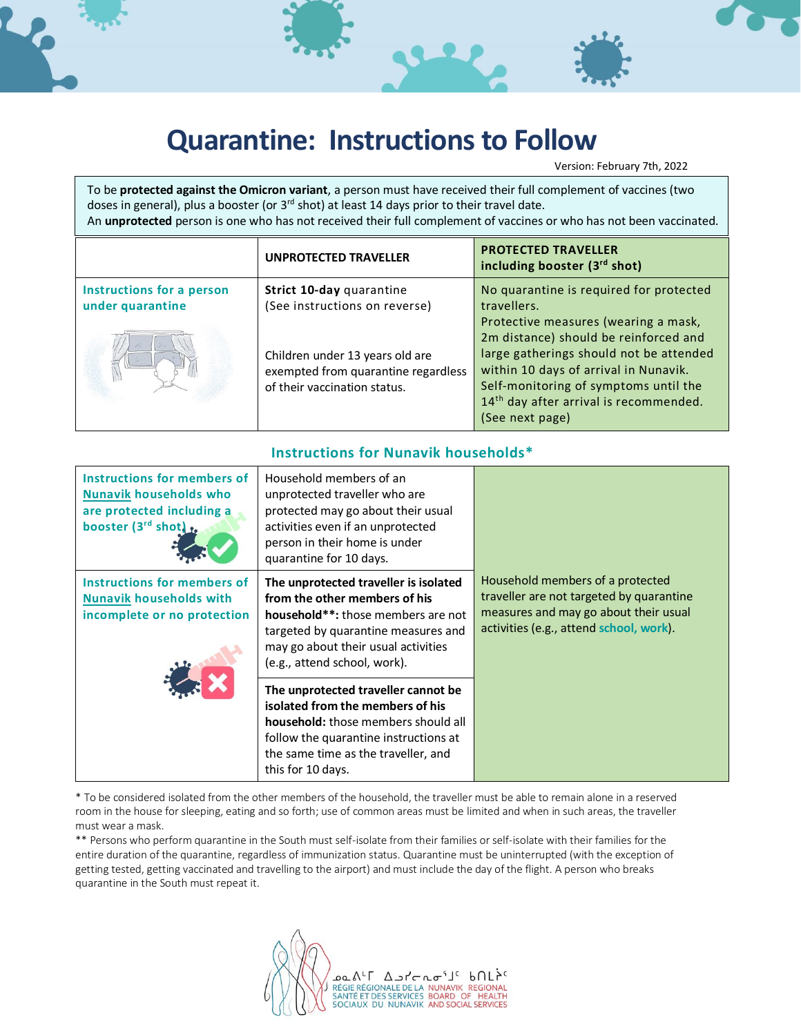

Version: February 7th, 2022

To be **protected against the Omicron variant**, a person must have received their full complement of vaccines (two doses in general), plus a booster (or 3<sup>rd</sup> shot) at least 14 days prior to their travel date. An **unprotected** person is one who has not received their full complement of vaccines or who has not been vaccinated.

|                                               | <b>UNPROTECTED TRAVELLER</b>                                                                                                                                        | <b>PROTECTED TRAVELLER</b><br>including booster (3rd shot)                                                                                                                                                                                                                                                                                    |
|-----------------------------------------------|---------------------------------------------------------------------------------------------------------------------------------------------------------------------|-----------------------------------------------------------------------------------------------------------------------------------------------------------------------------------------------------------------------------------------------------------------------------------------------------------------------------------------------|
| Instructions for a person<br>under quarantine | Strict 10-day quarantine<br>(See instructions on reverse)<br>Children under 13 years old are<br>exempted from quarantine regardless<br>of their vaccination status. | No quarantine is required for protected<br>travellers.<br>Protective measures (wearing a mask,<br>2m distance) should be reinforced and<br>large gatherings should not be attended<br>within 10 days of arrival in Nunavik.<br>Self-monitoring of symptoms until the<br>14 <sup>th</sup> day after arrival is recommended.<br>(See next page) |

## **Instructions for Nunavik households\***

| Instructions for members of<br><b>Nunavik households who</b><br>are protected including a<br>booster $(3^{rd}$ shot) $r_{\bullet}$ | Household members of an<br>unprotected traveller who are<br>protected may go about their usual<br>activities even if an unprotected<br>person in their home is under<br>quarantine for 10 days.                            |                                                                                                                                                                  |
|------------------------------------------------------------------------------------------------------------------------------------|----------------------------------------------------------------------------------------------------------------------------------------------------------------------------------------------------------------------------|------------------------------------------------------------------------------------------------------------------------------------------------------------------|
| Instructions for members of<br><b>Nunavik households with</b><br>incomplete or no protection                                       | The unprotected traveller is isolated<br>from the other members of his<br>household**: those members are not<br>targeted by quarantine measures and<br>may go about their usual activities<br>(e.g., attend school, work). | Household members of a protected<br>traveller are not targeted by quarantine<br>measures and may go about their usual<br>activities (e.g., attend school, work). |
|                                                                                                                                    | The unprotected traveller cannot be<br>isolated from the members of his<br>household: those members should all<br>follow the quarantine instructions at<br>the same time as the traveller, and<br>this for 10 days.        |                                                                                                                                                                  |

\* To be considered isolated from the other members of the household, the traveller must be able to remain alone in a reserved room in the house for sleeping, eating and so forth; use of common areas must be limited and when in such areas, the traveller must wear a mask.

\*\* Persons who perform quarantine in the South must self-isolate from their families or self-isolate with their families for the entire duration of the quarantine, regardless of immunization status. Quarantine must be uninterrupted (with the exception of getting tested, getting vaccinated and travelling to the airport) and must include the day of the flight. A person who breaks quarantine in the South must repeat it.